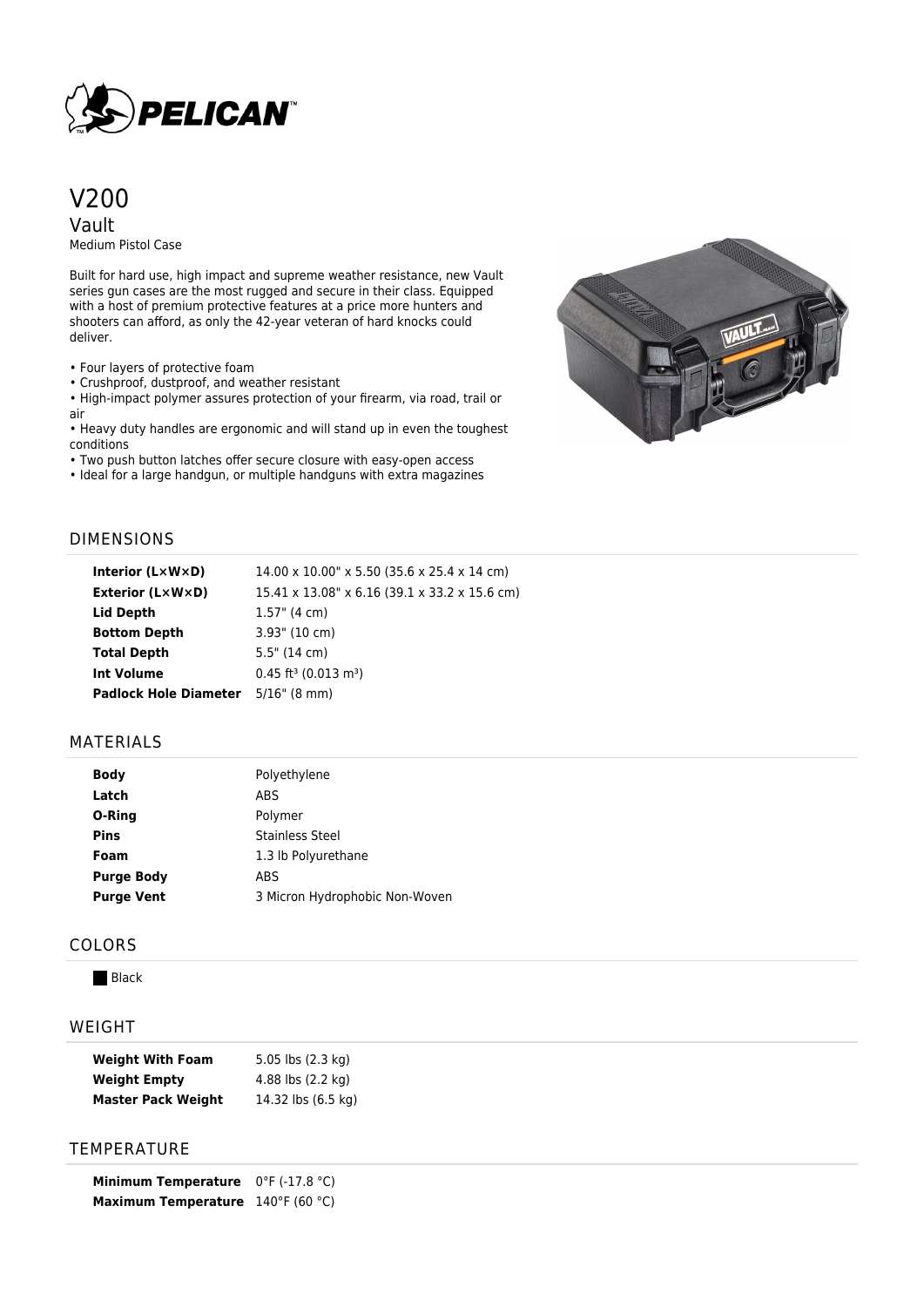

# V200 Vault

Medium Pistol Case

Built for hard use, high impact and supreme weather resistance, new Vault series gun cases are the most rugged and secure in their class. Equipped with a host of premium protective features at a price more hunters and shooters can afford, as only the 42-year veteran of hard knocks could deliver.

• Four layers of protective foam

• Crushproof, dustproof, and weather resistant

• High-impact polymer assures protection of your firearm, via road, trail or air

• Heavy duty handles are ergonomic and will stand up in even the toughest conditions

• Two push button latches offer secure closure with easy-open access

• Ideal for a large handgun, or multiple handguns with extra magazines



## DIMENSIONS

| Interior $(L \times W \times D)$ | 14.00 x 10.00" x 5.50 (35.6 x 25.4 x 14 cm)    |
|----------------------------------|------------------------------------------------|
| Exterior (L×W×D)                 | 15.41 x 13.08" x 6.16 (39.1 x 33.2 x 15.6 cm)  |
| Lid Depth                        | $1.57$ " (4 cm)                                |
| <b>Bottom Depth</b>              | $3.93$ " (10 cm)                               |
| <b>Total Depth</b>               | $5.5"$ (14 cm)                                 |
| <b>Int Volume</b>                | $0.45$ ft <sup>3</sup> (0.013 m <sup>3</sup> ) |
| <b>Padlock Hole Diameter</b>     | $5/16$ " (8 mm)                                |

## MATERIALS

| Body              | Polyethylene                   |  |
|-------------------|--------------------------------|--|
| Latch             | ABS                            |  |
| O-Ring            | Polymer                        |  |
| <b>Pins</b>       | <b>Stainless Steel</b>         |  |
| Foam              | 1.3 lb Polyurethane            |  |
| <b>Purge Body</b> | <b>ABS</b>                     |  |
| <b>Purge Vent</b> | 3 Micron Hydrophobic Non-Woven |  |
|                   |                                |  |

#### COLORS

**Black** 

## WEIGHT

| <b>Weight With Foam</b>   | 5.05 lbs (2.3 kg)  |
|---------------------------|--------------------|
| <b>Weight Empty</b>       | 4.88 lbs (2.2 kg)  |
| <b>Master Pack Weight</b> | 14.32 lbs (6.5 kg) |

# **TEMPERATURE**

**Minimum Temperature** 0°F (-17.8 °C) **Maximum Temperature** 140°F (60 °C)